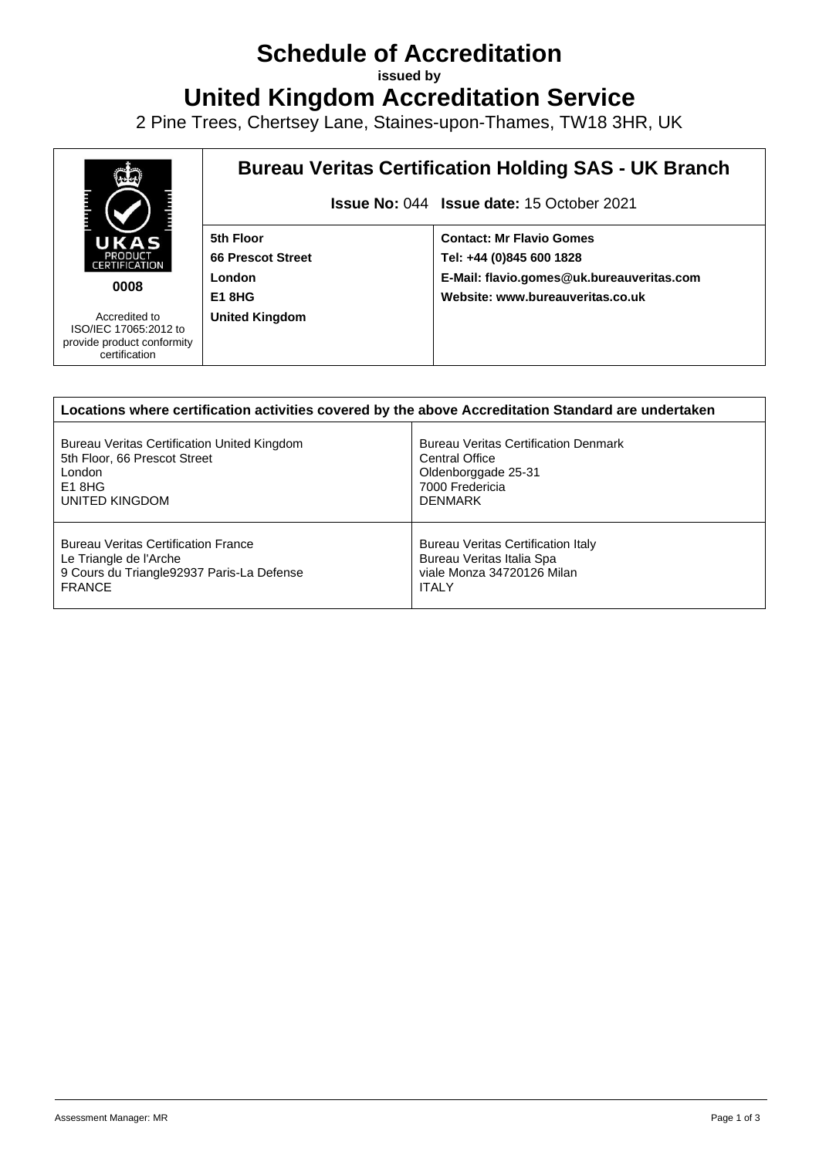## **Schedule of Accreditation**

**issued by**

**United Kingdom Accreditation Service**

2 Pine Trees, Chertsey Lane, Staines-upon-Thames, TW18 3HR, UK



| Locations where certification activities covered by the above Accreditation Standard are undertaken |                                             |  |
|-----------------------------------------------------------------------------------------------------|---------------------------------------------|--|
| Bureau Veritas Certification United Kingdom                                                         | <b>Bureau Veritas Certification Denmark</b> |  |
| 5th Floor, 66 Prescot Street                                                                        | <b>Central Office</b>                       |  |
| London                                                                                              | Oldenborggade 25-31                         |  |
| $E1$ 8HG                                                                                            | 7000 Fredericia                             |  |
| UNITED KINGDOM                                                                                      | <b>DENMARK</b>                              |  |
| <b>Bureau Veritas Certification France</b>                                                          | Bureau Veritas Certification Italy          |  |
| Le Triangle de l'Arche                                                                              | Bureau Veritas Italia Spa                   |  |
| 9 Cours du Triangle 92937 Paris-La Defense                                                          | viale Monza 34720126 Milan                  |  |
| <b>FRANCE</b>                                                                                       | <b>ITALY</b>                                |  |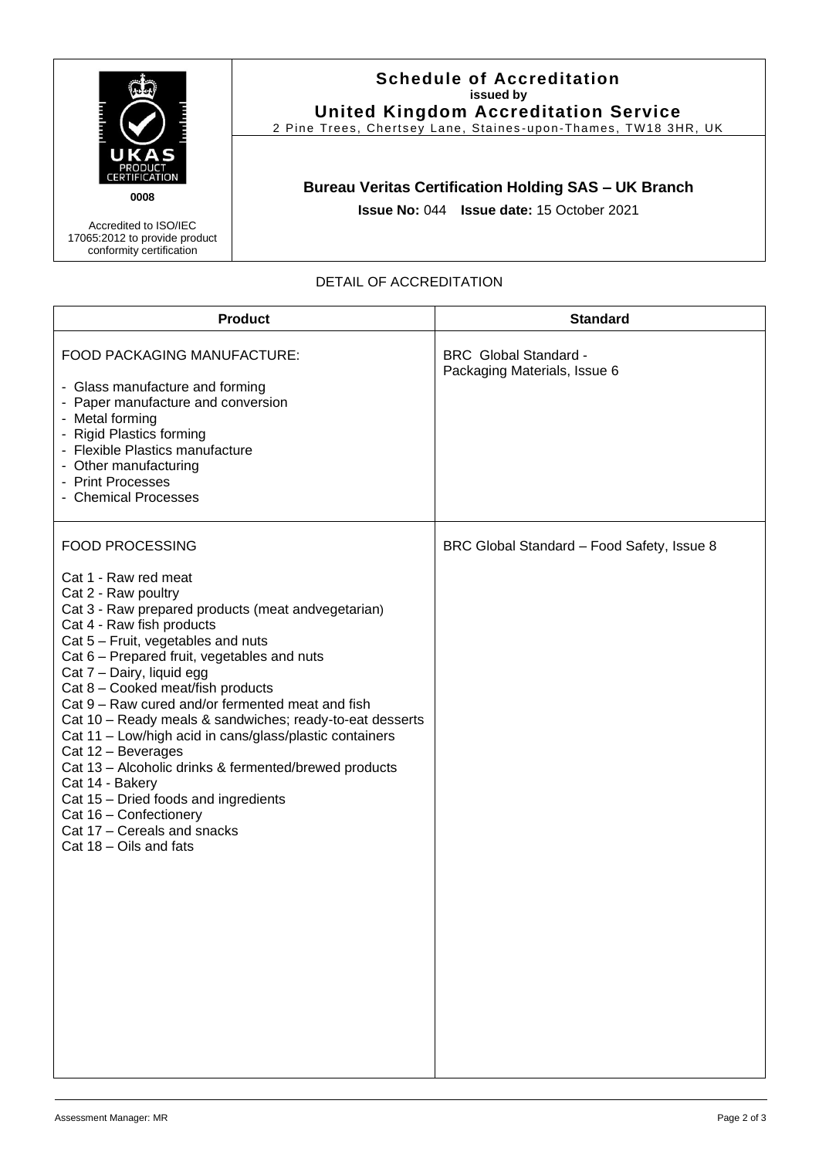

## **Schedule of Accreditation issued by United Kingdom Accreditation Service**

2 Pine Trees, Chertsey Lane, Staines-upon-Thames, TW18 3HR, UK

## **Bureau Veritas Certification Holding SAS – UK Branch**

**Issue No:** 044 **Issue date:** 15 October 2021

Accredited to ISO/IEC 17065:2012 to provide product conformity certification

## DETAIL OF ACCREDITATION

| <b>Product</b>                                                                                                                                                                                                                                                                                                                                                                                                                                                                                                                                                                                                                                                                                                          | <b>Standard</b>                                              |
|-------------------------------------------------------------------------------------------------------------------------------------------------------------------------------------------------------------------------------------------------------------------------------------------------------------------------------------------------------------------------------------------------------------------------------------------------------------------------------------------------------------------------------------------------------------------------------------------------------------------------------------------------------------------------------------------------------------------------|--------------------------------------------------------------|
| FOOD PACKAGING MANUFACTURE:<br>- Glass manufacture and forming<br>- Paper manufacture and conversion<br>- Metal forming<br>- Rigid Plastics forming<br>- Flexible Plastics manufacture<br>- Other manufacturing<br>- Print Processes<br>- Chemical Processes                                                                                                                                                                                                                                                                                                                                                                                                                                                            | <b>BRC</b> Global Standard -<br>Packaging Materials, Issue 6 |
| <b>FOOD PROCESSING</b><br>Cat 1 - Raw red meat<br>Cat 2 - Raw poultry<br>Cat 3 - Raw prepared products (meat andvegetarian)<br>Cat 4 - Raw fish products<br>Cat 5 - Fruit, vegetables and nuts<br>Cat 6 - Prepared fruit, vegetables and nuts<br>Cat 7 - Dairy, liquid egg<br>Cat 8 - Cooked meat/fish products<br>Cat 9 – Raw cured and/or fermented meat and fish<br>Cat 10 - Ready meals & sandwiches; ready-to-eat desserts<br>Cat 11 - Low/high acid in cans/glass/plastic containers<br>Cat 12 - Beverages<br>Cat 13 - Alcoholic drinks & fermented/brewed products<br>Cat 14 - Bakery<br>Cat 15 - Dried foods and ingredients<br>Cat 16 - Confectionery<br>Cat 17 - Cereals and snacks<br>Cat 18 - Oils and fats | BRC Global Standard - Food Safety, Issue 8                   |